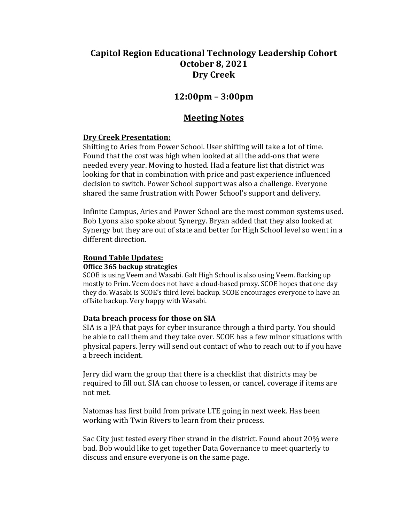# **Capitol Region Educational Technology Leadership Cohort October 8, 2021 Dry Creek**

# **12:00pm – 3:00pm**

# **Meeting Notes**

# **Dry Creek Presentation:**

Shifting to Aries from Power School. User shifting will take a lot of time. Found that the cost was high when looked at all the add-ons that were needed every year. Moving to hosted. Had a feature list that district was looking for that in combination with price and past experience influenced decision to switch. Power School support was also a challenge. Everyone shared the same frustration with Power School's support and delivery.

Infinite Campus, Aries and Power School are the most common systems used. Bob Lyons also spoke about Synergy. Bryan added that they also looked at Synergy but they are out of state and better for High School level so went in a different direction.

## **Round Table Updates:**

## **Office 365 backup strategies**

SCOE is using Veem and Wasabi. Galt High School is also using Veem. Backing up mostly to Prim. Veem does not have a cloud-based proxy. SCOE hopes that one day they do. Wasabi is SCOE's third level backup. SCOE encourages everyone to have an offsite backup. Very happy with Wasabi.

# **Data breach process for those on SIA**

SIA is a JPA that pays for cyber insurance through a third party. You should be able to call them and they take over. SCOE has a few minor situations with physical papers. Jerry will send out contact of who to reach out to if you have a breech incident.

Jerry did warn the group that there is a checklist that districts may be required to fill out. SIA can choose to lessen, or cancel, coverage if items are not met.

Natomas has first build from private LTE going in next week. Has been working with Twin Rivers to learn from their process.

Sac City just tested every fiber strand in the district. Found about 20% were bad. Bob would like to get together Data Governance to meet quarterly to discuss and ensure everyone is on the same page.